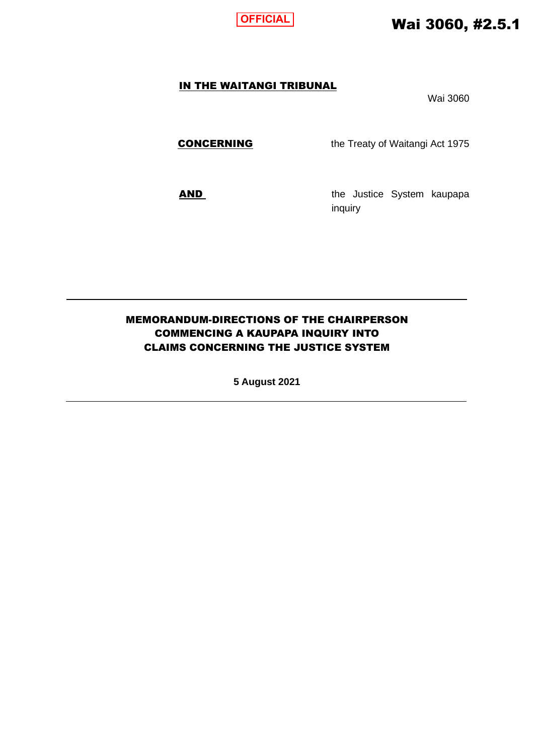

# Wai 3060, #2.5.1

### IN THE WAITANGI TRIBUNAL

Wai 3060

**CONCERNING** the Treaty of Waitangi Act 1975

AND the Justice System kaupapa inquiry

## MEMORANDUM-DIRECTIONS OF THE CHAIRPERSON COMMENCING A KAUPAPA INQUIRY INTO CLAIMS CONCERNING THE JUSTICE SYSTEM

**5 August 2021**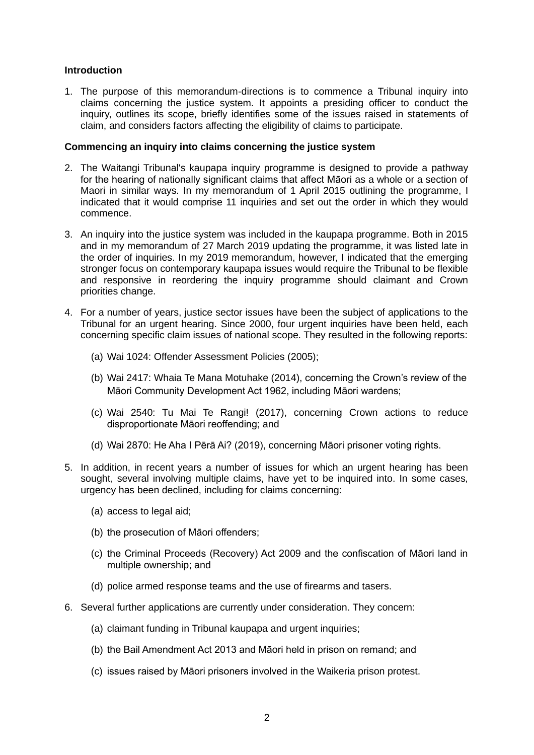#### **Introduction**

1. The purpose of this memorandum-directions is to commence a Tribunal inquiry into claims concerning the justice system. It appoints a presiding officer to conduct the inquiry, outlines its scope, briefly identifies some of the issues raised in statements of claim, and considers factors affecting the eligibility of claims to participate.

#### **Commencing an inquiry into claims concerning the justice system**

- 2. The Waitangi Tribunal's kaupapa inquiry programme is designed to provide a pathway for the hearing of nationally significant claims that affect Māori as a whole or a section of Maori in similar ways. In my memorandum of 1 April 2015 outlining the programme, I indicated that it would comprise 11 inquiries and set out the order in which they would commence.
- 3. An inquiry into the justice system was included in the kaupapa programme. Both in 2015 and in my memorandum of 27 March 2019 updating the programme, it was listed late in the order of inquiries. In my 2019 memorandum, however, I indicated that the emerging stronger focus on contemporary kaupapa issues would require the Tribunal to be flexible and responsive in reordering the inquiry programme should claimant and Crown priorities change.
- 4. For a number of years, justice sector issues have been the subject of applications to the Tribunal for an urgent hearing. Since 2000, four urgent inquiries have been held, each concerning specific claim issues of national scope. They resulted in the following reports:
	- (a) Wai 1024: Offender Assessment Policies (2005);
	- (b) Wai 2417: Whaia Te Mana Motuhake (2014), concerning the Crown's review of the Māori Community Development Act 1962, including Māori wardens;
	- (c) Wai 2540: Tu Mai Te Rangi! (2017), concerning Crown actions to reduce disproportionate Māori reoffending; and
	- (d) Wai 2870: He Aha I Pērā Ai? (2019), concerning Māori prisoner voting rights.
- 5. In addition, in recent years a number of issues for which an urgent hearing has been sought, several involving multiple claims, have yet to be inquired into. In some cases, urgency has been declined, including for claims concerning:
	- (a) access to legal aid;
	- (b) the prosecution of Māori offenders;
	- (c) the Criminal Proceeds (Recovery) Act 2009 and the confiscation of Māori land in multiple ownership; and
	- (d) police armed response teams and the use of firearms and tasers.
- 6. Several further applications are currently under consideration. They concern:
	- (a) claimant funding in Tribunal kaupapa and urgent inquiries;
	- (b) the Bail Amendment Act 2013 and Māori held in prison on remand; and
	- (c) issues raised by Māori prisoners involved in the Waikeria prison protest.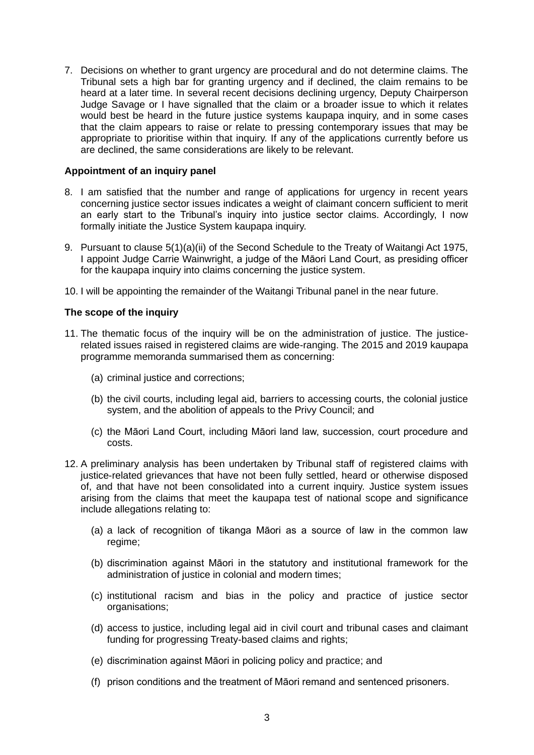7. Decisions on whether to grant urgency are procedural and do not determine claims. The Tribunal sets a high bar for granting urgency and if declined, the claim remains to be heard at a later time. In several recent decisions declining urgency, Deputy Chairperson Judge Savage or I have signalled that the claim or a broader issue to which it relates would best be heard in the future justice systems kaupapa inquiry, and in some cases that the claim appears to raise or relate to pressing contemporary issues that may be appropriate to prioritise within that inquiry. If any of the applications currently before us are declined, the same considerations are likely to be relevant.

#### **Appointment of an inquiry panel**

- 8. I am satisfied that the number and range of applications for urgency in recent years concerning justice sector issues indicates a weight of claimant concern sufficient to merit an early start to the Tribunal's inquiry into justice sector claims. Accordingly, I now formally initiate the Justice System kaupapa inquiry.
- 9. Pursuant to clause 5(1)(a)(ii) of the Second Schedule to the Treaty of Waitangi Act 1975, I appoint Judge Carrie Wainwright, a judge of the Māori Land Court, as presiding officer for the kaupapa inquiry into claims concerning the justice system.
- 10. I will be appointing the remainder of the Waitangi Tribunal panel in the near future.

#### **The scope of the inquiry**

- 11. The thematic focus of the inquiry will be on the administration of justice. The justicerelated issues raised in registered claims are wide-ranging. The 2015 and 2019 kaupapa programme memoranda summarised them as concerning:
	- (a) criminal justice and corrections;
	- (b) the civil courts, including legal aid, barriers to accessing courts, the colonial justice system, and the abolition of appeals to the Privy Council; and
	- (c) the Māori Land Court, including Māori land law, succession, court procedure and costs.
- 12. A preliminary analysis has been undertaken by Tribunal staff of registered claims with justice-related grievances that have not been fully settled, heard or otherwise disposed of, and that have not been consolidated into a current inquiry. Justice system issues arising from the claims that meet the kaupapa test of national scope and significance include allegations relating to:
	- (a) a lack of recognition of tikanga Māori as a source of law in the common law regime;
	- (b) discrimination against Māori in the statutory and institutional framework for the administration of justice in colonial and modern times;
	- (c) institutional racism and bias in the policy and practice of justice sector organisations;
	- (d) access to justice, including legal aid in civil court and tribunal cases and claimant funding for progressing Treaty-based claims and rights;
	- (e) discrimination against Māori in policing policy and practice; and
	- (f) prison conditions and the treatment of Māori remand and sentenced prisoners.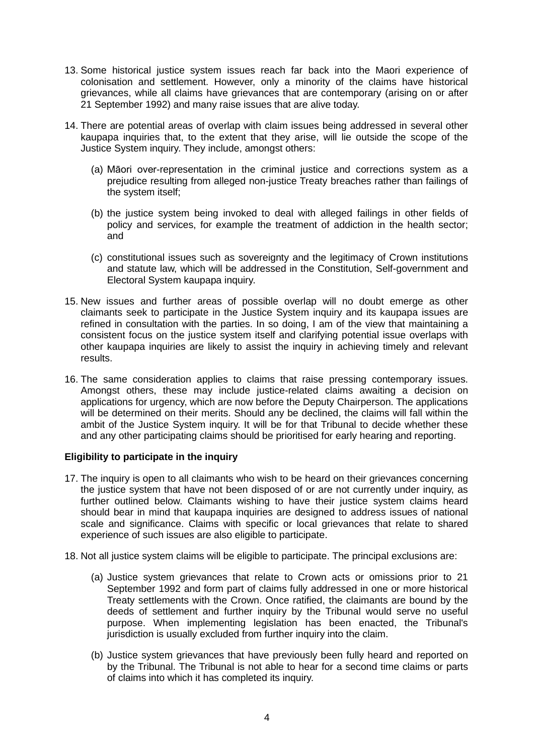- 13. Some historical justice system issues reach far back into the Maori experience of colonisation and settlement. However, only a minority of the claims have historical grievances, while all claims have grievances that are contemporary (arising on or after 21 September 1992) and many raise issues that are alive today.
- 14. There are potential areas of overlap with claim issues being addressed in several other kaupapa inquiries that, to the extent that they arise, will lie outside the scope of the Justice System inquiry. They include, amongst others:
	- (a) Māori over-representation in the criminal justice and corrections system as a prejudice resulting from alleged non-justice Treaty breaches rather than failings of the system itself;
	- (b) the justice system being invoked to deal with alleged failings in other fields of policy and services, for example the treatment of addiction in the health sector; and
	- (c) constitutional issues such as sovereignty and the legitimacy of Crown institutions and statute law, which will be addressed in the Constitution, Self-government and Electoral System kaupapa inquiry.
- 15. New issues and further areas of possible overlap will no doubt emerge as other claimants seek to participate in the Justice System inquiry and its kaupapa issues are refined in consultation with the parties. In so doing, I am of the view that maintaining a consistent focus on the justice system itself and clarifying potential issue overlaps with other kaupapa inquiries are likely to assist the inquiry in achieving timely and relevant results.
- 16. The same consideration applies to claims that raise pressing contemporary issues. Amongst others, these may include justice-related claims awaiting a decision on applications for urgency, which are now before the Deputy Chairperson. The applications will be determined on their merits. Should any be declined, the claims will fall within the ambit of the Justice System inquiry. It will be for that Tribunal to decide whether these and any other participating claims should be prioritised for early hearing and reporting.

#### **Eligibility to participate in the inquiry**

- 17. The inquiry is open to all claimants who wish to be heard on their grievances concerning the justice system that have not been disposed of or are not currently under inquiry, as further outlined below. Claimants wishing to have their justice system claims heard should bear in mind that kaupapa inquiries are designed to address issues of national scale and significance. Claims with specific or local grievances that relate to shared experience of such issues are also eligible to participate.
- 18. Not all justice system claims will be eligible to participate. The principal exclusions are:
	- (a) Justice system grievances that relate to Crown acts or omissions prior to 21 September 1992 and form part of claims fully addressed in one or more historical Treaty settlements with the Crown. Once ratified, the claimants are bound by the deeds of settlement and further inquiry by the Tribunal would serve no useful purpose. When implementing legislation has been enacted, the Tribunal's jurisdiction is usually excluded from further inquiry into the claim.
	- (b) Justice system grievances that have previously been fully heard and reported on by the Tribunal. The Tribunal is not able to hear for a second time claims or parts of claims into which it has completed its inquiry.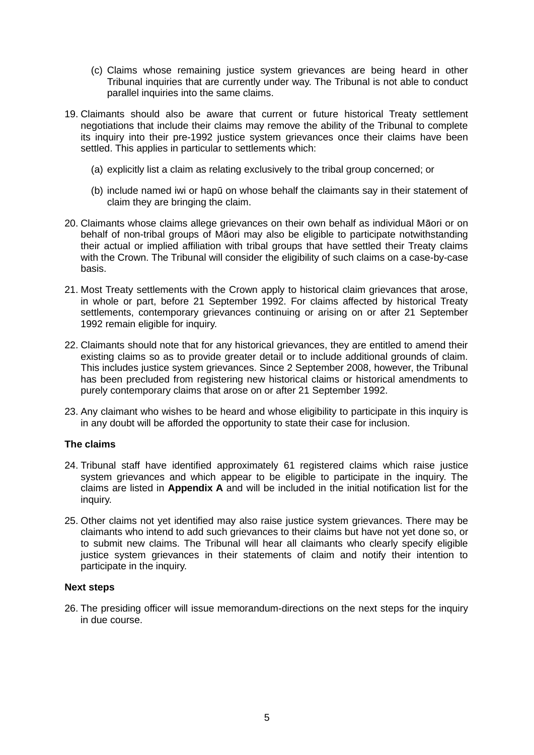- (c) Claims whose remaining justice system grievances are being heard in other Tribunal inquiries that are currently under way. The Tribunal is not able to conduct parallel inquiries into the same claims.
- 19. Claimants should also be aware that current or future historical Treaty settlement negotiations that include their claims may remove the ability of the Tribunal to complete its inquiry into their pre-1992 justice system grievances once their claims have been settled. This applies in particular to settlements which:
	- (a) explicitly list a claim as relating exclusively to the tribal group concerned; or
	- (b) include named iwi or hapū on whose behalf the claimants say in their statement of claim they are bringing the claim.
- 20. Claimants whose claims allege grievances on their own behalf as individual Māori or on behalf of non-tribal groups of Māori may also be eligible to participate notwithstanding their actual or implied affiliation with tribal groups that have settled their Treaty claims with the Crown. The Tribunal will consider the eligibility of such claims on a case-by-case basis.
- 21. Most Treaty settlements with the Crown apply to historical claim grievances that arose, in whole or part, before 21 September 1992. For claims affected by historical Treaty settlements, contemporary grievances continuing or arising on or after 21 September 1992 remain eligible for inquiry.
- 22. Claimants should note that for any historical grievances, they are entitled to amend their existing claims so as to provide greater detail or to include additional grounds of claim. This includes justice system grievances. Since 2 September 2008, however, the Tribunal has been precluded from registering new historical claims or historical amendments to purely contemporary claims that arose on or after 21 September 1992.
- 23. Any claimant who wishes to be heard and whose eligibility to participate in this inquiry is in any doubt will be afforded the opportunity to state their case for inclusion.

#### **The claims**

- 24. Tribunal staff have identified approximately 61 registered claims which raise justice system grievances and which appear to be eligible to participate in the inquiry. The claims are listed in **Appendix A** and will be included in the initial notification list for the inquiry.
- 25. Other claims not yet identified may also raise justice system grievances. There may be claimants who intend to add such grievances to their claims but have not yet done so, or to submit new claims. The Tribunal will hear all claimants who clearly specify eligible justice system grievances in their statements of claim and notify their intention to participate in the inquiry.

#### **Next steps**

26. The presiding officer will issue memorandum-directions on the next steps for the inquiry in due course.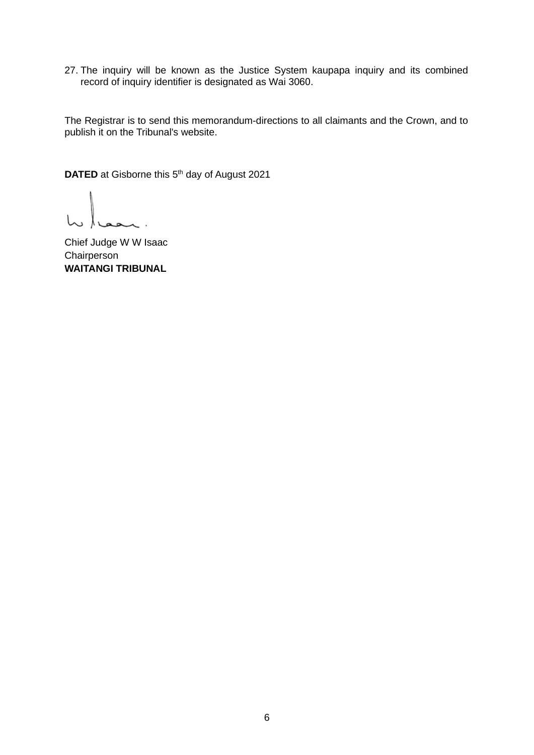27. The inquiry will be known as the Justice System kaupapa inquiry and its combined record of inquiry identifier is designated as Wai 3060.

The Registrar is to send this memorandum-directions to all claimants and the Crown, and to publish it on the Tribunal's website.

**DATED** at Gisborne this 5<sup>th</sup> day of August 2021

hu / wan.

Chief Judge W W Isaac **Chairperson WAITANGI TRIBUNAL**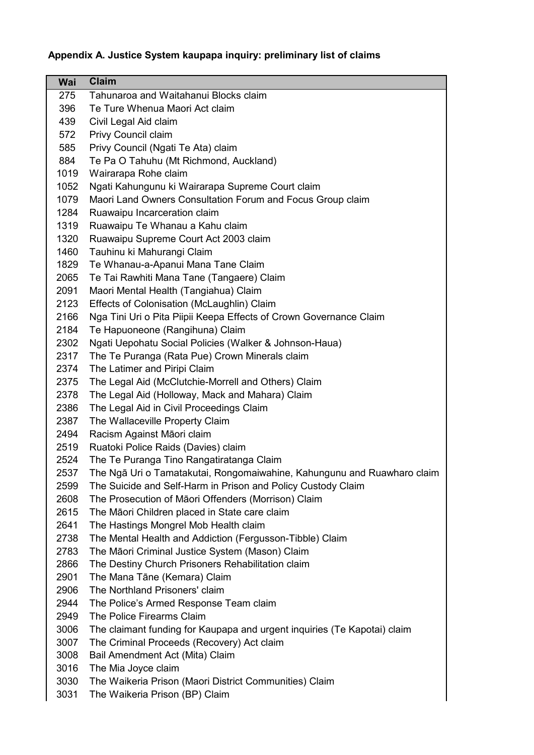## **Appendix A. Justice System kaupapa inquiry: preliminary list of claims**

| Wai  | <b>Claim</b>                                                             |
|------|--------------------------------------------------------------------------|
| 275  | Tahunaroa and Waitahanui Blocks claim                                    |
| 396  | Te Ture Whenua Maori Act claim                                           |
| 439  | Civil Legal Aid claim                                                    |
| 572  | Privy Council claim                                                      |
| 585  | Privy Council (Ngati Te Ata) claim                                       |
| 884  | Te Pa O Tahuhu (Mt Richmond, Auckland)                                   |
| 1019 | Wairarapa Rohe claim                                                     |
| 1052 | Ngati Kahungunu ki Wairarapa Supreme Court claim                         |
| 1079 | Maori Land Owners Consultation Forum and Focus Group claim               |
| 1284 | Ruawaipu Incarceration claim                                             |
| 1319 | Ruawaipu Te Whanau a Kahu claim                                          |
| 1320 | Ruawaipu Supreme Court Act 2003 claim                                    |
| 1460 | Tauhinu ki Mahurangi Claim                                               |
| 1829 | Te Whanau-a-Apanui Mana Tane Claim                                       |
| 2065 | Te Tai Rawhiti Mana Tane (Tangaere) Claim                                |
| 2091 | Maori Mental Health (Tangiahua) Claim                                    |
| 2123 | Effects of Colonisation (McLaughlin) Claim                               |
| 2166 | Nga Tini Uri o Pita Piipii Keepa Effects of Crown Governance Claim       |
| 2184 | Te Hapuoneone (Rangihuna) Claim                                          |
| 2302 | Ngati Uepohatu Social Policies (Walker & Johnson-Haua)                   |
| 2317 | The Te Puranga (Rata Pue) Crown Minerals claim                           |
| 2374 | The Latimer and Piripi Claim                                             |
| 2375 | The Legal Aid (McClutchie-Morrell and Others) Claim                      |
| 2378 | The Legal Aid (Holloway, Mack and Mahara) Claim                          |
| 2386 | The Legal Aid in Civil Proceedings Claim                                 |
| 2387 | The Wallaceville Property Claim                                          |
| 2494 | Racism Against Māori claim                                               |
| 2519 | Ruatoki Police Raids (Davies) claim                                      |
| 2524 | The Te Puranga Tino Rangatiratanga Claim                                 |
| 2537 | The Ngā Uri o Tamatakutai, Rongomaiwahine, Kahungunu and Ruawharo claim  |
| 2599 | The Suicide and Self-Harm in Prison and Policy Custody Claim             |
| 2608 | The Prosecution of Māori Offenders (Morrison) Claim                      |
| 2615 | The Māori Children placed in State care claim                            |
| 2641 | The Hastings Mongrel Mob Health claim                                    |
| 2738 | The Mental Health and Addiction (Fergusson-Tibble) Claim                 |
| 2783 | The Māori Criminal Justice System (Mason) Claim                          |
| 2866 | The Destiny Church Prisoners Rehabilitation claim                        |
| 2901 | The Mana Tāne (Kemara) Claim                                             |
| 2906 | The Northland Prisoners' claim                                           |
| 2944 | The Police's Armed Response Team claim                                   |
| 2949 | The Police Firearms Claim                                                |
| 3006 | The claimant funding for Kaupapa and urgent inquiries (Te Kapotai) claim |
| 3007 | The Criminal Proceeds (Recovery) Act claim                               |
| 3008 | Bail Amendment Act (Mita) Claim                                          |
| 3016 | The Mia Joyce claim                                                      |
| 3030 | The Waikeria Prison (Maori District Communities) Claim                   |
| 3031 | The Waikeria Drison (RD) Claim                                           |

3031 The Waikeria Prison (BP) Claim